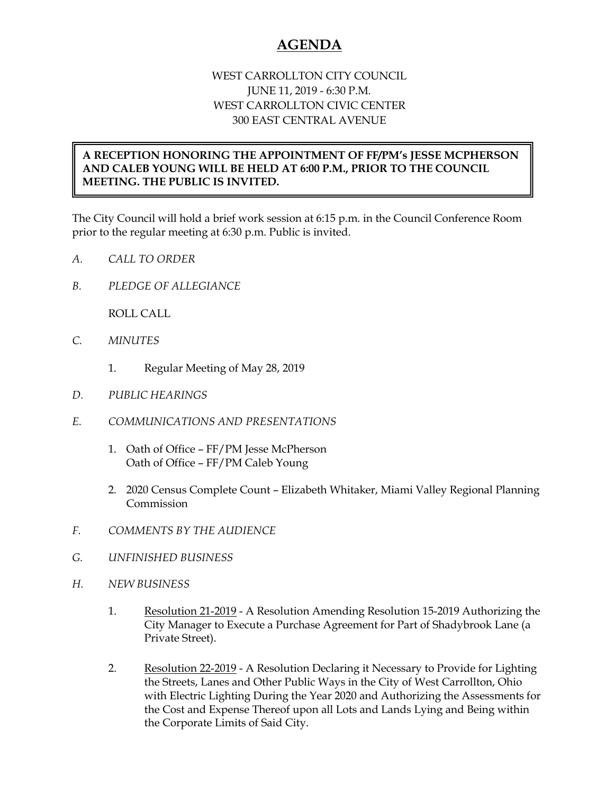## **AGENDA**

## WEST CARROLLTON CITY COUNCIL JUNE 11, 2019 - 6:30 P.M. WEST CARROLLTON CIVIC CENTER 300 EAST CENTRAL AVENUE

## **A RECEPTION HONORING THE APPOINTMENT OF FF/PM's JESSE MCPHERSON AND CALEB YOUNG WILL BE HELD AT 6:00 P.M., PRIOR TO THE COUNCIL MEETING. THE PUBLIC IS INVITED.**

The City Council will hold a brief work session at 6:15 p.m. in the Council Conference Room prior to the regular meeting at 6:30 p.m. Public is invited.

- *A. CALL TO ORDER*
- *B. PLEDGE OF ALLEGIANCE*

ROLL CALL

- *C. MINUTES* 
	- 1. Regular Meeting of May 28, 2019
- *D. PUBLIC HEARINGS*
- *E. COMMUNICATIONS AND PRESENTATIONS* 
	- 1. Oath of Office FF/PM Jesse McPherson Oath of Office – FF/PM Caleb Young
	- 2. 2020 Census Complete Count Elizabeth Whitaker, Miami Valley Regional Planning Commission
- *F. COMMENTS BY THE AUDIENCE*
- *G. UNFINISHED BUSINESS*
- *H. NEW BUSINESS* 
	- 1. Resolution 21-2019 A Resolution Amending Resolution 15-2019 Authorizing the City Manager to Execute a Purchase Agreement for Part of Shadybrook Lane (a Private Street).
	- 2. Resolution 22-2019 A Resolution Declaring it Necessary to Provide for Lighting the Streets, Lanes and Other Public Ways in the City of West Carrollton, Ohio with Electric Lighting During the Year 2020 and Authorizing the Assessments for the Cost and Expense Thereof upon all Lots and Lands Lying and Being within the Corporate Limits of Said City.